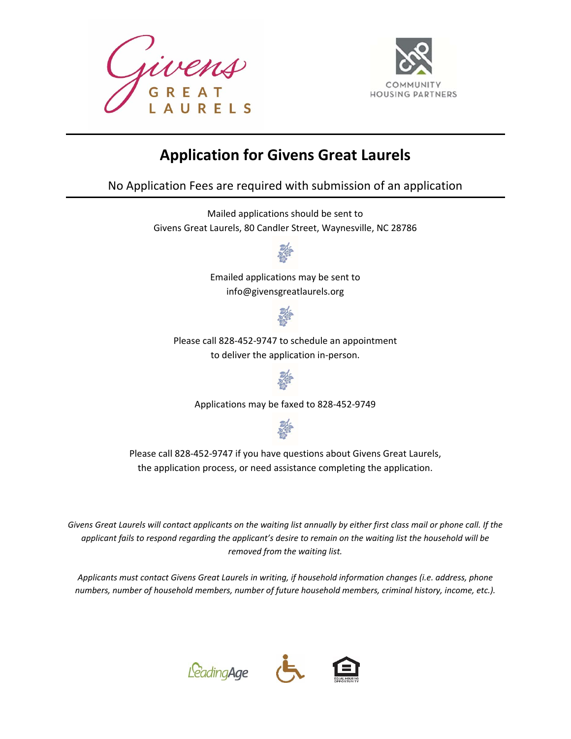



# **Application for Givens Great Laurels**

No Application Fees are required with submission of an application

Mailed applications should be sent to Givens Great Laurels, 80 Candler Street, Waynesville, NC 28786



Emailed applications may be sent to info@givensgreatlaurels.org



Please call 828‐452‐9747 to schedule an appointment to deliver the application in‐person.



Applications may be faxed to 828‐452‐9749



Please call 828‐452‐9747 if you have questions about Givens Great Laurels, the application process, or need assistance completing the application.

*Givens Great Laurels will contact applicants on the waiting list annually by either first class mail or phone call. If the applicant fails to respond regarding the applicant's desire to remain on the waiting list the household will be removed from the waiting list.* 

*Applicants must contact Givens Great Laurels in writing, if household information changes (i.e. address, phone numbers, number of household members, number of future household members, criminal history, income, etc.).* 



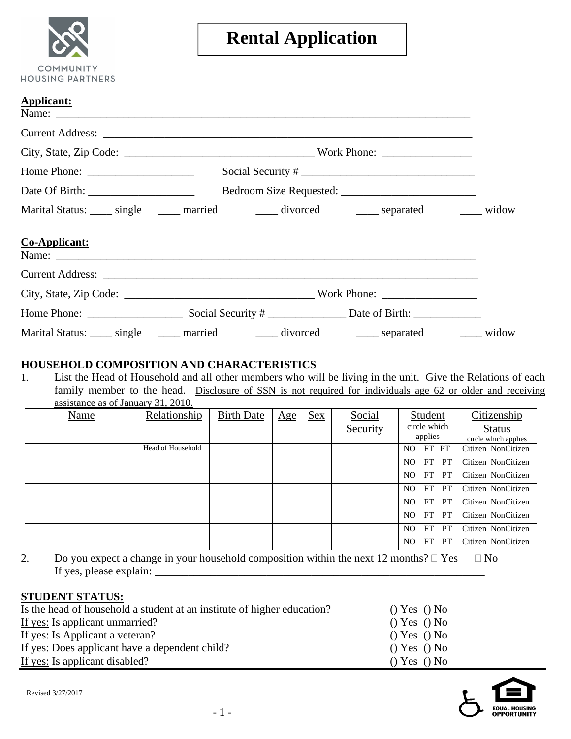| <b>COMMUNITY</b><br>HOUSING PARTNERS |
|--------------------------------------|

# **Rental Application**

| <b>Applicant:</b> |                                                                                                    |                   |  |
|-------------------|----------------------------------------------------------------------------------------------------|-------------------|--|
|                   |                                                                                                    |                   |  |
|                   | City, State, Zip Code: $\_\_\_\_\_\_\_\_\_\_\_\_\_\_\_\_\_\_\_\_\_\_\_\_\_\_\_\_ \_\_ work Phone:$ |                   |  |
|                   |                                                                                                    | Social Security # |  |
|                   |                                                                                                    |                   |  |
|                   | Marital Status: _____ single ______ married _______ divorced _______ separated _______ widow       |                   |  |
| Co-Applicant:     |                                                                                                    |                   |  |
|                   |                                                                                                    |                   |  |
|                   |                                                                                                    |                   |  |
|                   |                                                                                                    |                   |  |
|                   | Marital Status: _____ single ______ married _______ divorced _______ separated _______ widow       |                   |  |

### **HOUSEHOLD COMPOSITION AND CHARACTERISTICS**

1. List the Head of Household and all other members who will be living in the unit. Give the Relations of each family member to the head. Disclosure of SSN is not required for individuals age 62 or older and receiving assistance as of January 31, 2010.

| Name | Relationship      | <b>Birth Date</b> | Age | <b>Sex</b> | Social   | Student                 | Citizenship          |
|------|-------------------|-------------------|-----|------------|----------|-------------------------|----------------------|
|      |                   |                   |     |            | Security | circle which<br>applies | <b>Status</b>        |
|      |                   |                   |     |            |          |                         | circle which applies |
|      | Head of Household |                   |     |            |          | FT PT<br>NO.            | Citizen NonCitizen   |
|      |                   |                   |     |            |          | FT<br><b>PT</b><br>NO.  | Citizen NonCitizen   |
|      |                   |                   |     |            |          | FT.<br><b>PT</b><br>NO. | Citizen NonCitizen   |
|      |                   |                   |     |            |          | <b>PT</b><br>NO.<br>FT. | Citizen NonCitizen   |
|      |                   |                   |     |            |          | FT<br>NO.<br><b>PT</b>  | Citizen NonCitizen   |
|      |                   |                   |     |            |          | NO.<br>FT.<br>PT.       | Citizen NonCitizen   |
|      |                   |                   |     |            |          | NO.<br>FT.<br><b>PT</b> | Citizen NonCitizen   |
|      |                   |                   |     |            |          | NO.<br>FT<br><b>PT</b>  | Citizen NonCitizen   |

2. Do you expect a change in your household composition within the next 12 months?  $\Box$  Yes  $\Box$  No If yes, please explain:  $\frac{1}{\sqrt{1-\frac{1}{2}}\sqrt{1-\frac{1}{2}}\left\vert \frac{1}{2}+2\right\vert }$ 

#### **STUDENT STATUS:**

| Is the head of household a student at an institute of higher education? | $()$ Yes $()$ No |
|-------------------------------------------------------------------------|------------------|
| If yes: Is applicant unmarried?                                         | () Yes () No     |
| If yes: Is Applicant a veteran?                                         | () Yes () No     |
| If yes: Does applicant have a dependent child?                          | () Yes () No     |
| If yes: Is applicant disabled?                                          | $()$ Yes $()$ No |

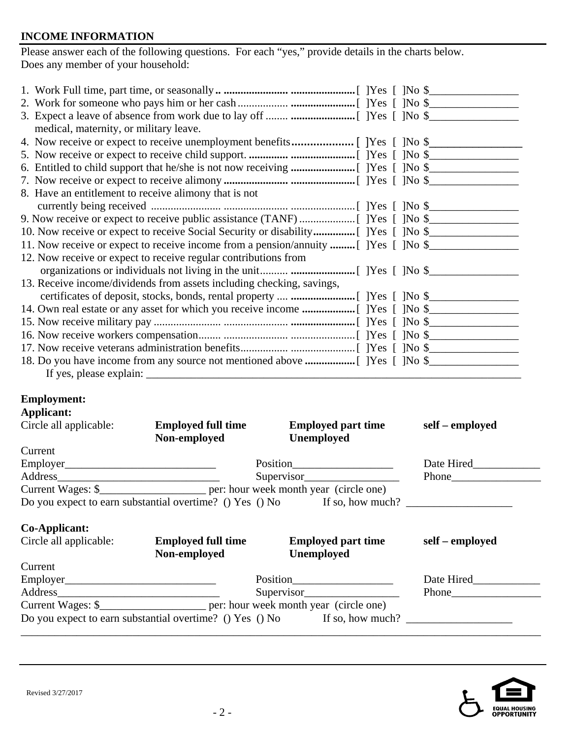#### **INCOME INFORMATION**

Please answer each of the following questions. For each "yes," provide details in the charts below. Does any member of your household:

| medical, maternity, or military leave.                                                |
|---------------------------------------------------------------------------------------|
|                                                                                       |
|                                                                                       |
|                                                                                       |
|                                                                                       |
| 8. Have an entitlement to receive alimony that is not                                 |
|                                                                                       |
|                                                                                       |
|                                                                                       |
| 11. Now receive or expect to receive income from a pension/annuity  [ ] Yes [ ] No \$ |
| 12. Now receive or expect to receive regular contributions from                       |
|                                                                                       |
| 13. Receive income/dividends from assets including checking, savings,                 |
|                                                                                       |
|                                                                                       |
|                                                                                       |
|                                                                                       |
|                                                                                       |
|                                                                                       |
| If yes, please explain: ______                                                        |

## **Employment:**

| Applicant:             |                           |                                                                           |                 |
|------------------------|---------------------------|---------------------------------------------------------------------------|-----------------|
| Circle all applicable: | <b>Employed full time</b> | <b>Employed part time</b>                                                 | self – employed |
|                        | Non-employed              | <b>Unemployed</b>                                                         |                 |
| Current                |                           |                                                                           |                 |
| Employer               |                           | Position                                                                  | Date Hired      |
| Address                | Supervisor                | Phone                                                                     |                 |
|                        |                           |                                                                           |                 |
|                        |                           | Do you expect to earn substantial overtime? () Yes () No If so, how much? |                 |
| Co-Applicant:          |                           |                                                                           |                 |
| Circle all applicable: | <b>Employed full time</b> | <b>Employed part time</b>                                                 | self – employed |
|                        | Non-employed              | <b>Unemployed</b>                                                         |                 |
| Current                |                           |                                                                           |                 |
| Employer               |                           | Position                                                                  | Date Hired      |

Address\_\_\_\_\_\_\_\_\_\_\_\_\_\_\_\_\_\_\_\_\_\_\_\_\_\_\_\_\_ Supervisor\_\_\_\_\_\_\_\_\_\_\_\_\_\_\_\_\_ Phone\_\_\_\_\_\_\_\_\_\_\_\_\_\_\_\_ Current Wages: \$\_\_\_\_\_\_\_\_\_\_\_\_\_\_\_\_\_\_\_ per: hour week month year (circle one) Do you expect to earn substantial overtime? () Yes () No If so, how much? \_\_\_\_\_\_\_\_\_\_\_\_\_\_\_\_\_\_\_\_\_\_\_\_\_\_\_\_\_\_\_\_\_\_\_\_\_\_\_\_\_\_\_\_\_\_\_\_\_\_\_\_\_\_\_\_\_\_\_\_\_\_\_\_\_\_\_\_\_\_\_\_\_\_\_\_\_\_\_\_\_\_\_\_\_\_\_\_\_\_\_\_\_

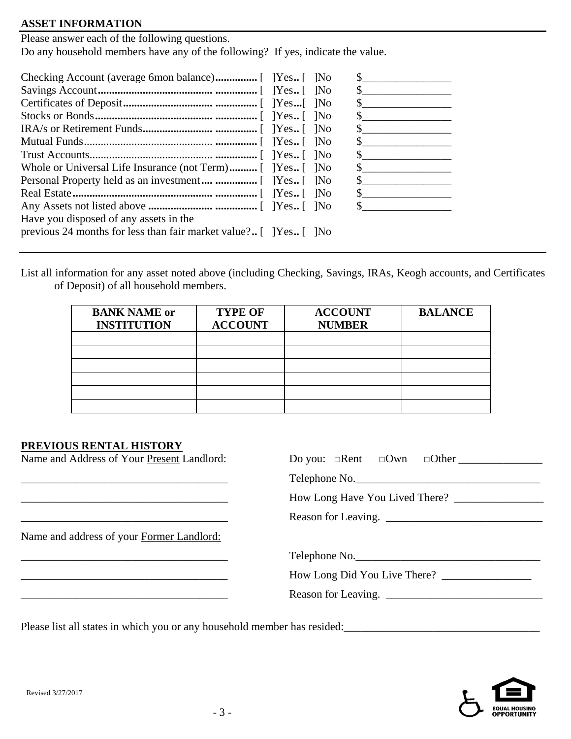#### **ASSET INFORMATION**

Please answer each of the following questions. Do any household members have any of the following? If yes, indicate the value.

| Whole or Universal Life Insurance (not Term) [ Pres [ No           |  |
|--------------------------------------------------------------------|--|
|                                                                    |  |
|                                                                    |  |
|                                                                    |  |
| Have you disposed of any assets in the                             |  |
| previous 24 months for less than fair market value? [ ] Yes [ ] No |  |

List all information for any asset noted above (including Checking, Savings, IRAs, Keogh accounts, and Certificates of Deposit) of all household members.

| <b>BANK NAME or</b><br><b>INSTITUTION</b> | <b>TYPE OF</b><br><b>ACCOUNT</b> | <b>ACCOUNT</b><br><b>NUMBER</b> | <b>BALANCE</b> |
|-------------------------------------------|----------------------------------|---------------------------------|----------------|
|                                           |                                  |                                 |                |
|                                           |                                  |                                 |                |
|                                           |                                  |                                 |                |
|                                           |                                  |                                 |                |
|                                           |                                  |                                 |                |
|                                           |                                  |                                 |                |

#### **PREVIOUS RENTAL HISTORY**

| Name and Address of Your Present Landlord: |                     |
|--------------------------------------------|---------------------|
|                                            | Telephone No.       |
|                                            |                     |
|                                            | Reason for Leaving. |
| Name and address of your Former Landlord:  |                     |
|                                            | Telephone No.       |
|                                            |                     |
|                                            | Reason for Leaving. |
|                                            |                     |

Please list all states in which you or any household member has resided:\_\_\_\_\_\_\_\_\_\_\_\_\_\_\_\_\_\_\_\_\_\_\_\_\_\_\_\_\_\_\_\_\_\_\_

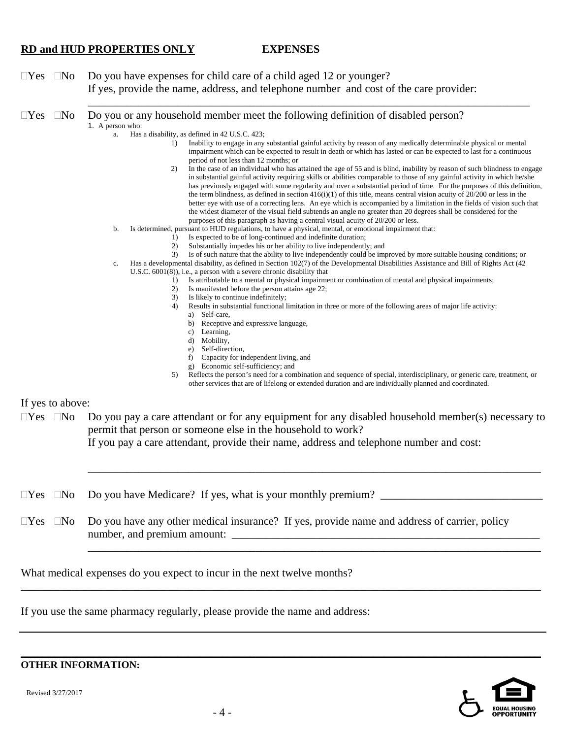#### **RD and HUD PROPERTIES ONLY EXPENSES**

\_\_\_\_\_\_\_\_\_\_\_\_\_\_\_\_\_\_\_\_\_\_\_\_\_\_\_\_\_\_\_\_\_\_\_\_\_\_\_\_\_\_\_\_\_\_\_\_\_\_\_\_\_\_\_\_\_\_\_\_\_\_\_\_\_\_\_\_\_\_\_\_\_\_\_\_\_\_\_

 $\Box$  Yes  $\Box$  No Do you have expenses for child care of a child aged 12 or younger? If yes, provide the name, address, and telephone number and cost of the care provider:

 $\Box$  Yes  $\Box$  No  $\Box$  Do you or any household member meet the following definition of disabled person? 1. A person who:

- a. Has a disability, as defined in 42 U.S.C. 423;
	- 1) Inability to engage in any substantial gainful activity by reason of any medically determinable physical or mental impairment which can be expected to result in death or which has lasted or can be expected to last for a continuous period of not less than 12 months; or
	- 2) In the case of an individual who has attained the age of 55 and is blind, inability by reason of such blindness to engage in substantial gainful activity requiring skills or abilities comparable to those of any gainful activity in which he/she has previously engaged with some regularity and over a substantial period of time. For the purposes of this definition, the term blindness, as defined in section  $416(i)(1)$  of this title, means central vision acuity of  $20/200$  or less in the better eye with use of a correcting lens. An eye which is accompanied by a limitation in the fields of vision such that the widest diameter of the visual field subtends an angle no greater than 20 degrees shall be considered for the purposes of this paragraph as having a central visual acuity of 20/200 or less.
	- b. Is determined, pursuant to HUD regulations, to have a physical, mental, or emotional impairment that:
		- 1) Is expected to be of long-continued and indefinite duration;
			- 2) Substantially impedes his or her ability to live independently; and
			- 3) Is of such nature that the ability to live independently could be improved by more suitable housing conditions; or
	- Has a developmental disability, as defined in Section 102(7) of the Developmental Disabilities Assistance and Bill of Rights Act (42) U.S.C. 6001(8)), i.e., a person with a severe chronic disability that
		- 1) Is attributable to a mental or physical impairment or combination of mental and physical impairments;
		- 2) Is manifested before the person attains age 22;
		- 3) Is likely to continue indefinitely;
		- 4) Results in substantial functional limitation in three or more of the following areas of major life activity:
			- a) Self-care,
			- b) Receptive and expressive language,
			- c) Learning,
			- d) Mobility,
			- e) Self-direction,
			- f) Capacity for independent living, and
			- g) Economic self-sufficiency; and
		- 5) Reflects the person's need for a combination and sequence of special, interdisciplinary, or generic care, treatment, or other services that are of lifelong or extended duration and are individually planned and coordinated.

If yes to above:

 $\Box$ Yes  $\Box$ No  $\Box$ Do you pay a care attendant or for any equipment for any disabled household member(s) necessary to permit that person or someone else in the household to work?

If you pay a care attendant, provide their name, address and telephone number and cost:

\_\_\_\_\_\_\_\_\_\_\_\_\_\_\_\_\_\_\_\_\_\_\_\_\_\_\_\_\_\_\_\_\_\_\_\_\_\_\_\_\_\_\_\_\_\_\_\_\_\_\_\_\_\_\_\_\_\_\_\_\_\_\_\_\_\_\_\_\_\_\_\_\_\_\_\_\_\_\_\_\_

\_\_\_\_\_\_\_\_\_\_\_\_\_\_\_\_\_\_\_\_\_\_\_\_\_\_\_\_\_\_\_\_\_\_\_\_\_\_\_\_\_\_\_\_\_\_\_\_\_\_\_\_\_\_\_\_\_\_\_\_\_\_\_\_\_\_\_\_\_\_\_\_\_\_\_\_\_\_\_\_\_

- Yes No Do you have Medicare? If yes, what is your monthly premium? \_\_\_\_\_\_\_\_\_\_\_\_\_\_\_\_\_\_\_\_\_\_\_\_\_\_\_\_\_
- $\Box$  Yes  $\Box$  No Do you have any other medical insurance? If yes, provide name and address of carrier, policy number, and premium amount:

\_\_\_\_\_\_\_\_\_\_\_\_\_\_\_\_\_\_\_\_\_\_\_\_\_\_\_\_\_\_\_\_\_\_\_\_\_\_\_\_\_\_\_\_\_\_\_\_\_\_\_\_\_\_\_\_\_\_\_\_\_\_\_\_\_\_\_\_\_\_\_\_\_\_\_\_\_\_\_\_\_\_\_\_\_\_\_\_\_\_\_\_\_

**\_\_\_\_\_\_\_\_\_\_\_\_\_\_\_\_\_\_\_\_\_\_\_\_\_\_\_\_\_\_\_\_\_\_\_\_\_\_\_\_\_\_\_\_\_\_\_\_\_\_\_\_\_\_\_\_\_\_\_\_\_\_\_\_\_\_\_\_\_\_\_\_\_\_\_\_\_\_\_\_\_\_\_\_\_\_\_\_\_\_\_\_\_**

What medical expenses do you expect to incur in the next twelve months?

If you use the same pharmacy regularly, please provide the name and address:



**OTHER INFORMATION:** 

Revised 3/27/2017